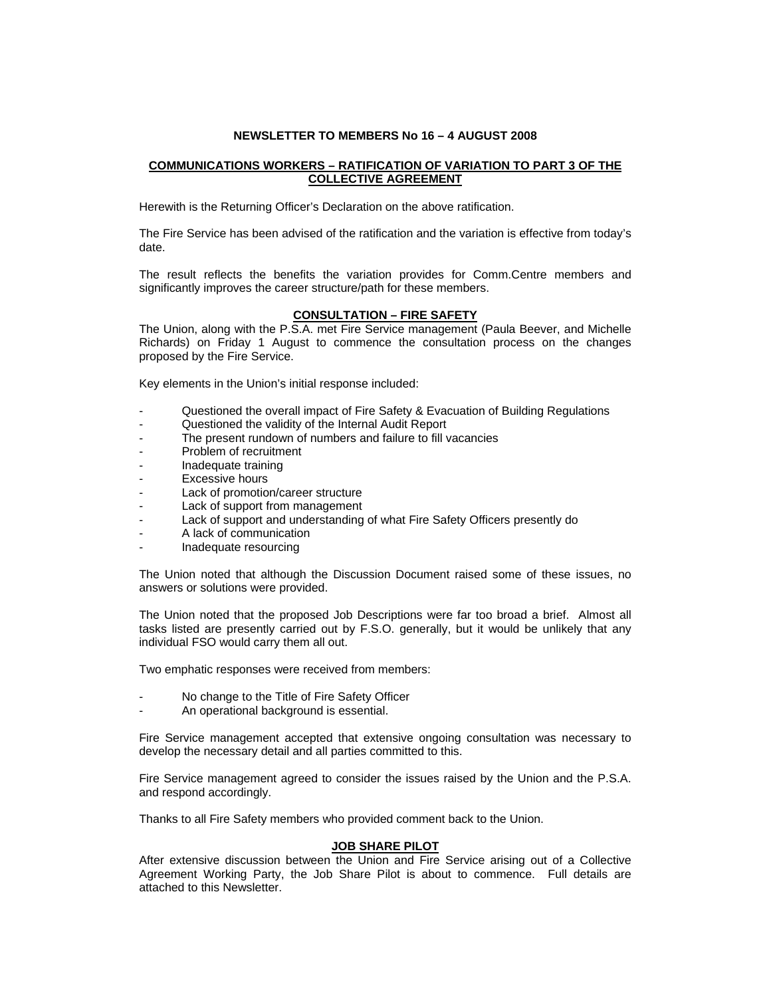#### **NEWSLETTER TO MEMBERS No 16 – 4 AUGUST 2008**

### **COMMUNICATIONS WORKERS – RATIFICATION OF VARIATION TO PART 3 OF THE COLLECTIVE AGREEMENT**

Herewith is the Returning Officer's Declaration on the above ratification.

The Fire Service has been advised of the ratification and the variation is effective from today's date.

The result reflects the benefits the variation provides for Comm.Centre members and significantly improves the career structure/path for these members.

#### **CONSULTATION – FIRE SAFETY**

The Union, along with the P.S.A. met Fire Service management (Paula Beever, and Michelle Richards) on Friday 1 August to commence the consultation process on the changes proposed by the Fire Service.

Key elements in the Union's initial response included:

- Questioned the overall impact of Fire Safety & Evacuation of Building Regulations
- Questioned the validity of the Internal Audit Report
- The present rundown of numbers and failure to fill vacancies
- Problem of recruitment
- Inadequate training
- Excessive hours
- Lack of promotion/career structure
- Lack of support from management
- Lack of support and understanding of what Fire Safety Officers presently do
- A lack of communication
- Inadequate resourcing

The Union noted that although the Discussion Document raised some of these issues, no answers or solutions were provided.

The Union noted that the proposed Job Descriptions were far too broad a brief. Almost all tasks listed are presently carried out by F.S.O. generally, but it would be unlikely that any individual FSO would carry them all out.

Two emphatic responses were received from members:

- No change to the Title of Fire Safety Officer
- An operational background is essential.

Fire Service management accepted that extensive ongoing consultation was necessary to develop the necessary detail and all parties committed to this.

Fire Service management agreed to consider the issues raised by the Union and the P.S.A. and respond accordingly.

Thanks to all Fire Safety members who provided comment back to the Union.

#### **JOB SHARE PILOT**

After extensive discussion between the Union and Fire Service arising out of a Collective Agreement Working Party, the Job Share Pilot is about to commence. Full details are attached to this Newsletter.